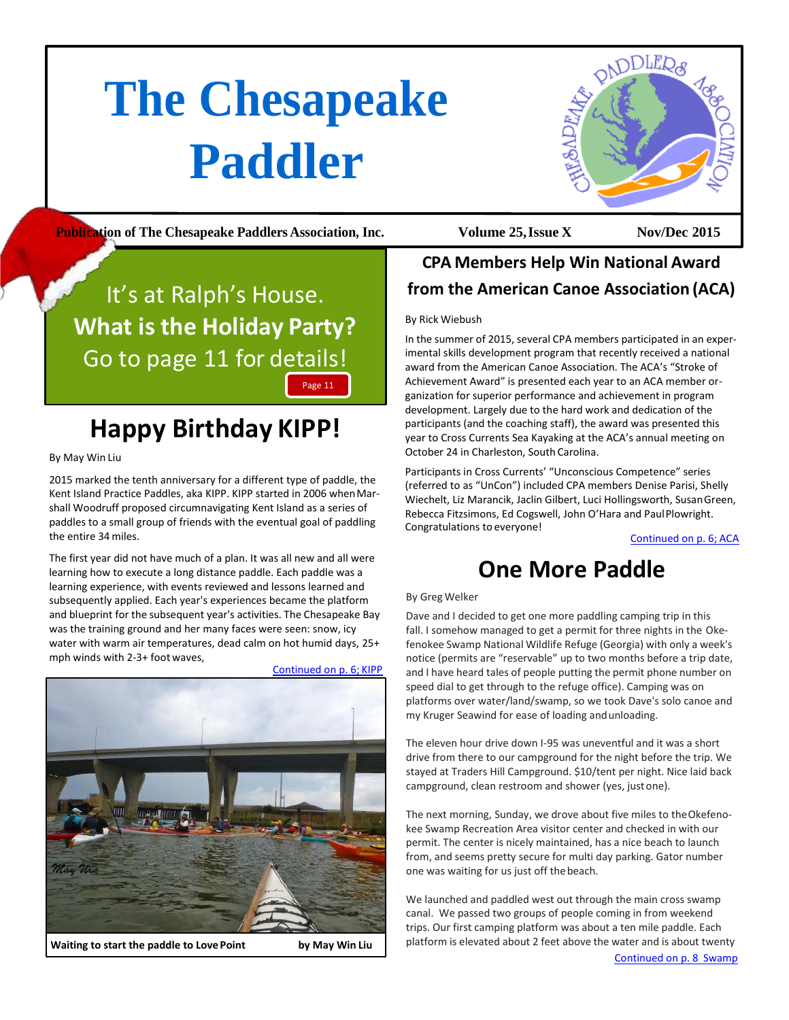# <span id="page-0-0"></span>**The Chesapeake Paddler**



**Publication of The Chesapeake Paddlers Association, Inc. Volume 25,Issue X Nov/Dec 2015**

## It's at Ralph's House. **What is the Holiday Party?** Go to page 11 for details! Page 11

# **Happy Birthday KIPP!**

By May Win Liu

2015 marked the tenth anniversary for a different type of paddle, the Kent Island Practice Paddles, aka KIPP. KIPP started in 2006 whenMarshall Woodruff proposed circumnavigating Kent Island as a series of paddles to a small group of friends with the eventual goal of paddling the entire 34 miles.

The first year did not have much of a plan. It was all new and all were learning how to execute a long distance paddle. Each paddle was a learning experience, with events reviewed and lessons learned and subsequently applied. Each year's experiences became the platform and blueprint for the subsequent year's activities. The Chesapeake Bay was the training ground and her many faces were seen: snow, icy water with warm air temperatures, dead calm on hot humid days, 25+ mph winds with 2-3+ foot waves,



**Waiting to start the paddle to LovePoint by May Win Liu**

### **CPA Members Help Win National Award from the American Canoe Association (ACA)**

#### By Rick Wiebush

In the summer of 2015, several CPA members participated in an experimental skills development program that recently received a national award from the American Canoe Association. The ACA's "Stroke of Achievement Award" is presented each year to an ACA member organization for superior performance and achievement in program development. Largely due to the hard work and dedication of the participants (and the coaching staff), the award was presented this year to Cross Currents Sea Kayaking at the ACA's annual meeting on October 24 in Charleston, South Carolina.

Participants in Cross Currents' "Unconscious Competence" series (referred to as "UnCon") included CPA members Denise Parisi, Shelly Wiechelt, Liz Marancik, Jaclin Gilbert, Luci Hollingsworth, SusanGreen, Rebecca Fitzsimons, Ed Cogswell, John O'Hara and PaulPlowright. Congratulations to everyone!

Continued on p. 6; ACA

## **One More Paddle**

#### By Greg Welker

Dave and I decided to get one more paddling camping trip in this fall. I somehow managed to get a permit for three nights in the Okefenokee Swamp National Wildlife Refuge (Georgia) with only a week's notice (permits are "reservable" up to two months before a trip date, and I have heard tales of people putting the permit phone number on speed dial to get through to the refuge office). Camping was on platforms over water/land/swamp, so we took Dave's solo canoe and my Kruger Seawind for ease of loading andunloading.

The eleven hour drive down I-95 was uneventful and it was a short drive from there to our campground for the night before the trip. We stayed at Traders Hill Campground. \$10/tent per night. Nice laid back campground, clean restroom and shower (yes, justone).

The next morning, Sunday, we drove about five miles to theOkefenokee Swamp Recreation Area visitor center and checked in with our permit. The center is nicely maintained, has a nice beach to launch from, and seems pretty secure for multi day parking. Gator number one was waiting for us just off thebeach.

We launched and paddled west out through the main cross swamp canal. We passed two groups of people coming in from weekend trips. Our first camping platform was about a ten mile paddle. Each platform is elevated about 2 feet above the water and is about twenty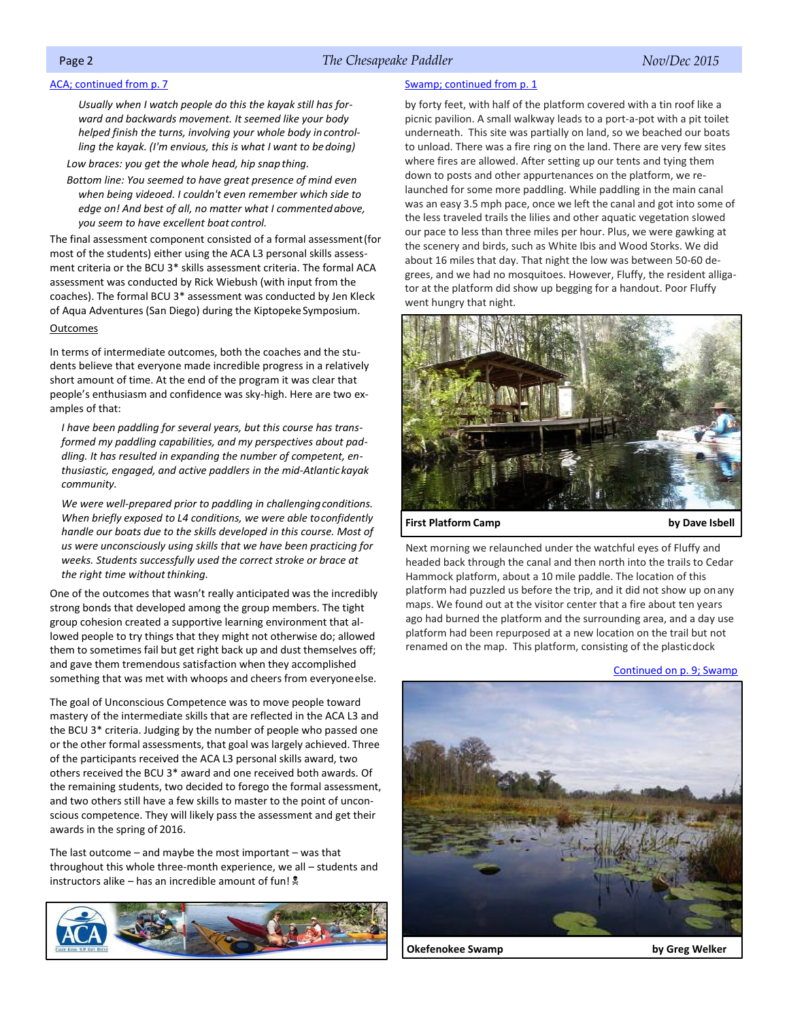#### Page 2 *The Chesapeake Paddler Nov/Dec 2015*

#### <span id="page-1-0"></span>ACA; continued from p. 7

*Usually when I watch people do this the kayak still has forward and backwards movement. It seemed like your body helped finish the turns, involving your whole body in controlling the kayak. (I'm envious, this is what I want to bedoing)*

*Low braces: you get the whole head, hip snap thing.*

*Bottom line: You seemed to have great presence of mind even when being videoed. I couldn't even remember which side to edge on! And best of all, no matter what I commentedabove, you seem to have excellent boat control.*

The final assessment component consisted of a formal assessment(for most of the students) either using the ACA L3 personal skills assessment criteria or the BCU 3\* skills assessment criteria. The formal ACA assessment was conducted by Rick Wiebush (with input from the coaches). The formal BCU 3\* assessment was conducted by Jen Kleck of Aqua Adventures (San Diego) during the Kiptopeke Symposium.

#### **Outcomes**

In terms of intermediate outcomes, both the coaches and the students believe that everyone made incredible progress in a relatively short amount of time. At the end of the program it was clear that people's enthusiasm and confidence was sky-high. Here are two examples of that:

*I have been paddling for several years, but this course has transformed my paddling capabilities, and my perspectives about paddling. It has resulted in expanding the number of competent, enthusiastic, engaged, and active paddlers in the mid-Atlantic kayak community.*

We were well-prepared prior to paddling in challenging conditions. *When briefly exposed to L4 conditions, we were able toconfidently handle our boats due to the skills developed in this course. Most of us were unconsciously using skills that we have been practicing for weeks. Students successfully used the correct stroke or brace at the right time without thinking.* 

One of the outcomes that wasn't really anticipated was the incredibly strong bonds that developed among the group members. The tight group cohesion created a supportive learning environment that allowed people to try things that they might not otherwise do; allowed them to sometimes fail but get right back up and dust themselves off; and gave them tremendous satisfaction when they accomplished something that was met with whoops and cheers from everyoneelse.

The goal of Unconscious Competence was to move people toward mastery of the intermediate skills that are reflected in the ACA L3 and the BCU 3\* criteria. Judging by the number of people who passed one or the other formal assessments, that goal was largely achieved. Three of the participants received the ACA L3 personal skills award, two others received the BCU 3\* award and one received both awards. Of the remaining students, two decided to forego the formal assessment, and two others still have a few skills to master to the point of unconscious competence. They will likely pass the assessment and get their awards in the spring of 2016.

The last outcome  $-$  and maybe the most important  $-$  was that throughout this whole three-month experience, we all – students and instructors alike – has an incredible amount of fun!  $\stackrel{\bullet}{\bullet}$ 



#### Swamp; [continued](#page-0-0) from p. 1

by forty feet, with half of the platform covered with a tin roof like a picnic pavilion. A small walkway leads to a port-a-pot with a pit toilet underneath. This site was partially on land, so we beached our boats to unload. There was a fire ring on the land. There are very few sites where fires are allowed. After setting up our tents and tying them down to posts and other appurtenances on the platform, we relaunched for some more paddling. While paddling in the main canal was an easy 3.5 mph pace, once we left the canal and got into some of the less traveled trails the lilies and other aquatic vegetation slowed our pace to less than three miles per hour. Plus, we were gawking at the scenery and birds, such as White Ibis and Wood Storks. We did about 16 miles that day. That night the low was between 50-60 degrees, and we had no mosquitoes. However, Fluffy, the resident alligator at the platform did show up begging for a handout. Poor Fluffy went hungry that night.



**First Platform Camp by Dave Isbell**

Next morning we relaunched under the watchful eyes of Fluffy and headed back through the canal and then north into the trails to Cedar Hammock platform, about a 10 mile paddle. The location of this platform had puzzled us before the trip, and it did not show up onany maps. We found out at the visitor center that a fire about ten years ago had burned the platform and the surrounding area, and a day use platform had been repurposed at a new location on the trail but not renamed on the map. This platform, consisting of the plasticdock

#### [Continued on p. 9;](#page-2-0) Swamp



**Okefenokee Swamp by Greg Welker**